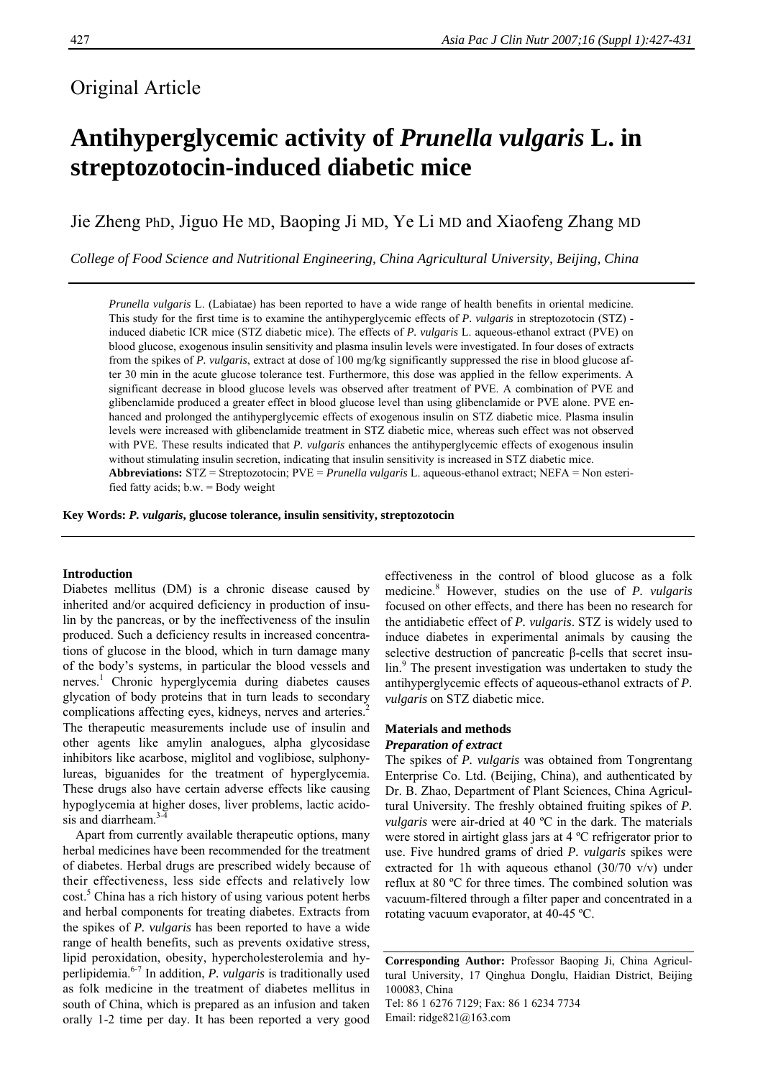# Original Article

# **Antihyperglycemic activity of** *Prunella vulgaris* **L. in streptozotocin-induced diabetic mice**

Jie Zheng PhD, Jiguo He MD, Baoping Ji MD, Ye Li MD and Xiaofeng Zhang MD

*College of Food Science and Nutritional Engineering, China Agricultural University, Beijing, China* 

*Prunella vulgaris* L. (Labiatae) has been reported to have a wide range of health benefits in oriental medicine. This study for the first time is to examine the antihyperglycemic effects of *P. vulgaris* in streptozotocin (STZ) induced diabetic ICR mice (STZ diabetic mice). The effects of *P. vulgaris* L. aqueous-ethanol extract (PVE) on blood glucose, exogenous insulin sensitivity and plasma insulin levels were investigated. In four doses of extracts from the spikes of *P. vulgaris*, extract at dose of 100 mg/kg significantly suppressed the rise in blood glucose after 30 min in the acute glucose tolerance test. Furthermore, this dose was applied in the fellow experiments. A significant decrease in blood glucose levels was observed after treatment of PVE. A combination of PVE and glibenclamide produced a greater effect in blood glucose level than using glibenclamide or PVE alone. PVE enhanced and prolonged the antihyperglycemic effects of exogenous insulin on STZ diabetic mice. Plasma insulin levels were increased with glibenclamide treatment in STZ diabetic mice, whereas such effect was not observed with PVE. These results indicated that *P. vulgaris* enhances the antihyperglycemic effects of exogenous insulin without stimulating insulin secretion, indicating that insulin sensitivity is increased in STZ diabetic mice. **Abbreviations:** STZ = Streptozotocin; PVE = *Prunella vulgaris* L. aqueous-ethanol extract; NEFA = Non esterified fatty acids; b.w. = Body weight

**Key Words:** *P. vulgaris***, glucose tolerance, insulin sensitivity, streptozotocin** 

# **Introduction**

Diabetes mellitus (DM) is a chronic disease caused by inherited and/or acquired deficiency in production of insulin by the pancreas, or by the ineffectiveness of the insulin produced. Such a deficiency results in increased concentrations of glucose in the blood, which in turn damage many of the body's systems, in particular the blood vessels and nerves.<sup>1</sup> Chronic hyperglycemia during diabetes causes glycation of body proteins that in turn leads to secondary complications affecting eyes, kidneys, nerves and arteries.<sup>2</sup> The therapeutic measurements include use of insulin and other agents like amylin analogues, alpha glycosidase inhibitors like acarbose, miglitol and voglibiose, sulphonylureas, biguanides for the treatment of hyperglycemia. These drugs also have certain adverse effects like causing hypoglycemia at higher doses, liver problems, lactic acidosis and diarrheam. $3-4$ 

Apart from currently available therapeutic options, many herbal medicines have been recommended for the treatment of diabetes. Herbal drugs are prescribed widely because of their effectiveness, less side effects and relatively low cost.<sup>5</sup> China has a rich history of using various potent herbs and herbal components for treating diabetes. Extracts from the spikes of *P. vulgaris* has been reported to have a wide range of health benefits, such as prevents oxidative stress, lipid peroxidation, obesity, hypercholesterolemia and hyperlipidemia.6-7 In addition, *P. vulgaris* is traditionally used as folk medicine in the treatment of diabetes mellitus in south of China, which is prepared as an infusion and taken orally 1-2 time per day. It has been reported a very good

effectiveness in the control of blood glucose as a folk medicine.<sup>8</sup> However, studies on the use of *P. vulgaris* focused on other effects, and there has been no research for the antidiabetic effect of *P. vulgaris*. STZ is widely used to induce diabetes in experimental animals by causing the selective destruction of pancreatic β-cells that secret insulin.<sup>9</sup> The present investigation was undertaken to study the antihyperglycemic effects of aqueous-ethanol extracts of *P. vulgaris* on STZ diabetic mice.

# **Materials and methods** *Preparation of extract*

The spikes of *P. vulgaris* was obtained from Tongrentang Enterprise Co. Ltd. (Beijing, China), and authenticated by Dr. B. Zhao, Department of Plant Sciences, China Agricultural University. The freshly obtained fruiting spikes of *P. vulgaris* were air-dried at 40 ºC in the dark. The materials were stored in airtight glass jars at 4 °C refrigerator prior to use. Five hundred grams of dried *P. vulgaris* spikes were extracted for 1h with aqueous ethanol  $(30/70 \text{ v/v})$  under reflux at 80 ºC for three times. The combined solution was vacuum-filtered through a filter paper and concentrated in a rotating vacuum evaporator, at 40-45 ºC.

**Corresponding Author:** Professor Baoping Ji, China Agricultural University, 17 Qinghua Donglu, Haidian District, Beijing 100083, China Tel: 86 1 6276 7129; Fax: 86 1 6234 7734 Email: ridge821@163.com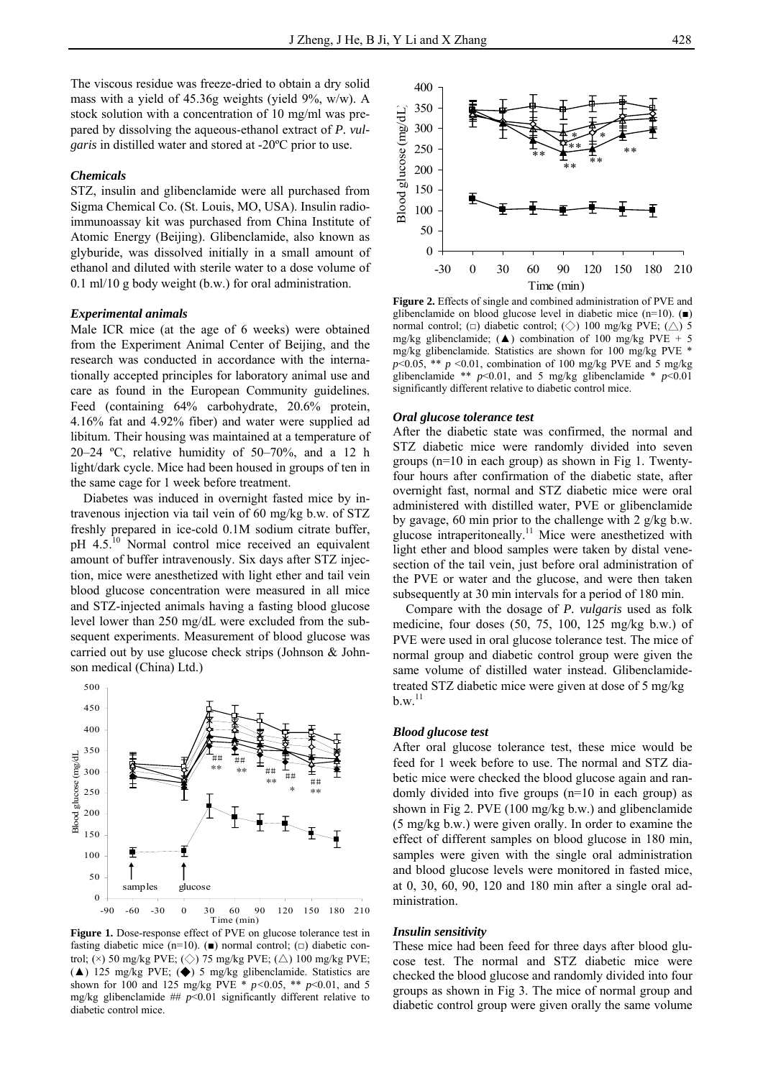The viscous residue was freeze-dried to obtain a dry solid mass with a yield of 45.36g weights (yield 9%, w/w). A stock solution with a concentration of 10 mg/ml was prepared by dissolving the aqueous-ethanol extract of *P. vulgaris* in distilled water and stored at -20ºC prior to use.

# *Chemicals*

STZ, insulin and glibenclamide were all purchased from Sigma Chemical Co. (St. Louis, MO, USA). Insulin radioimmunoassay kit was purchased from China Institute of Atomic Energy (Beijing). Glibenclamide, also known as glyburide, was dissolved initially in a small amount of ethanol and diluted with sterile water to a dose volume of 0.1 ml/10 g body weight (b.w.) for oral administration.

#### *Experimental animals*

Male ICR mice (at the age of 6 weeks) were obtained from the Experiment Animal Center of Beijing, and the research was conducted in accordance with the internationally accepted principles for laboratory animal use and care as found in the European Community guidelines. Feed (containing 64% carbohydrate, 20.6% protein, 4.16% fat and 4.92% fiber) and water were supplied ad libitum. Their housing was maintained at a temperature of 20–24 °C, relative humidity of  $50-70\%$ , and a 12 h light/dark cycle. Mice had been housed in groups of ten in the same cage for 1 week before treatment.

Diabetes was induced in overnight fasted mice by intravenous injection via tail vein of 60 mg/kg b.w. of STZ freshly prepared in ice-cold 0.1M sodium citrate buffer, pH 4.5.<sup>10</sup> Normal control mice received an equivalent amount of buffer intravenously. Six days after STZ injection, mice were anesthetized with light ether and tail vein blood glucose concentration were measured in all mice and STZ-injected animals having a fasting blood glucose level lower than 250 mg/dL were excluded from the subsequent experiments. Measurement of blood glucose was carried out by use glucose check strips (Johnson & Johnson medical (China) Ltd.)



**Figure 1.** Dose-response effect of PVE on glucose tolerance test in fasting diabetic mice (n=10). ( $\blacksquare$ ) normal control; ( $\Box$ ) diabetic control; ( $\times$ ) 50 mg/kg PVE; ( $\diamond$ ) 75 mg/kg PVE; ( $\triangle$ ) 100 mg/kg PVE; (▲) 125 mg/kg PVE; (◆) 5 mg/kg glibenclamide. Statistics are shown for 100 and 125 mg/kg PVE \* *p<*0.05, \*\* *p*<0.01, and 5 mg/kg glibenclamide  $#$   $p$ <0.01 significantly different relative to diabetic control mice.



**Figure 2.** Effects of single and combined administration of PVE and glibenclamide on blood glucose level in diabetic mice (n=10). (■) normal control;  $(\Box)$  diabetic control;  $(\Diamond)$  100 mg/kg PVE;  $(\triangle)$  5 mg/kg glibenclamide; ( $\triangle$ ) combination of 100 mg/kg PVE + 5 mg/kg glibenclamide. Statistics are shown for 100 mg/kg PVE \*  $p$ <0.05, \*\*  $p$  <0.01, combination of 100 mg/kg PVE and 5 mg/kg glibenclamide \*\*  $p<0.01$ , and 5 mg/kg glibenclamide \*  $p<0.01$ significantly different relative to diabetic control mice.

#### *Oral glucose tolerance test*

After the diabetic state was confirmed, the normal and STZ diabetic mice were randomly divided into seven groups (n=10 in each group) as shown in Fig 1. Twentyfour hours after confirmation of the diabetic state, after overnight fast, normal and STZ diabetic mice were oral administered with distilled water, PVE or glibenclamide by gavage, 60 min prior to the challenge with 2 g/kg b.w. glucose intraperitoneally.<sup>11</sup> Mice were anesthetized with light ether and blood samples were taken by distal venesection of the tail vein, just before oral administration of the PVE or water and the glucose, and were then taken subsequently at 30 min intervals for a period of 180 min.

Compare with the dosage of *P. vulgaris* used as folk medicine, four doses (50, 75, 100, 125 mg/kg b.w.) of PVE were used in oral glucose tolerance test. The mice of normal group and diabetic control group were given the same volume of distilled water instead. Glibenclamidetreated STZ diabetic mice were given at dose of 5 mg/kg  $b.w<sup>.11</sup>$ 

#### *Blood glucose test*

After oral glucose tolerance test, these mice would be feed for 1 week before to use. The normal and STZ diabetic mice were checked the blood glucose again and randomly divided into five groups (n=10 in each group) as shown in Fig 2. PVE (100 mg/kg b.w.) and glibenclamide (5 mg/kg b.w.) were given orally. In order to examine the effect of different samples on blood glucose in 180 min, samples were given with the single oral administration and blood glucose levels were monitored in fasted mice, at 0, 30, 60, 90, 120 and 180 min after a single oral administration.

#### *Insulin sensitivity*

These mice had been feed for three days after blood glucose test. The normal and STZ diabetic mice were checked the blood glucose and randomly divided into four groups as shown in Fig 3. The mice of normal group and diabetic control group were given orally the same volume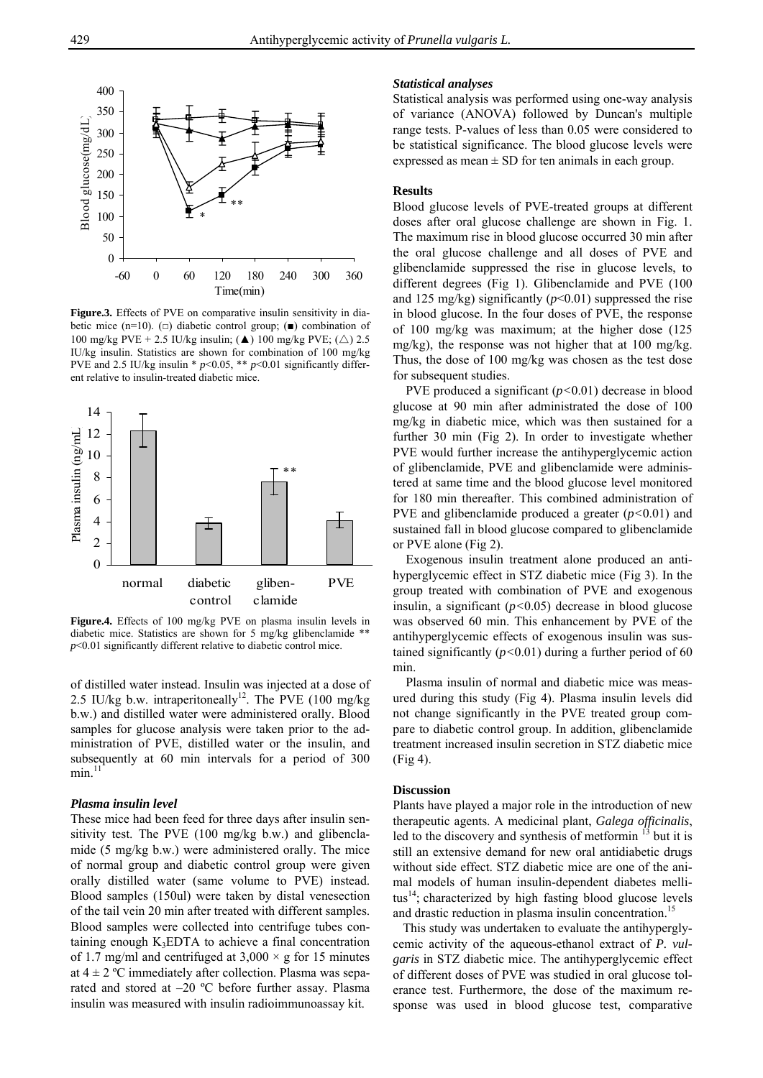

**Figure.3.** Effects of PVE on comparative insulin sensitivity in diabetic mice (n=10). ( $\square$ ) diabetic control group; ( $\blacksquare$ ) combination of 100 mg/kg PVE + 2.5 IU/kg insulin; ( $\triangle$ ) 100 mg/kg PVE; ( $\triangle$ ) 2.5 IU/kg insulin. Statistics are shown for combination of 100 mg/kg PVE and 2.5 IU/kg insulin \*  $p$  < 0.05, \*\*  $p$  < 0.01 significantly different relative to insulin-treated diabetic mice.



**Figure.4.** Effects of 100 mg/kg PVE on plasma insulin levels in diabetic mice. Statistics are shown for 5 mg/kg glibenclamide \*\*  $p$ <0.01 significantly different relative to diabetic control mice.

of distilled water instead. Insulin was injected at a dose of 2.5 IU/kg b.w. intraperitoneally<sup>12</sup>. The PVE (100 mg/kg) b.w.) and distilled water were administered orally. Blood samples for glucose analysis were taken prior to the administration of PVE, distilled water or the insulin, and subsequently at 60 min intervals for a period of 300  $min<sup>11</sup>$ 

# *Plasma insulin level*

These mice had been feed for three days after insulin sensitivity test. The PVE (100 mg/kg b.w.) and glibenclamide (5 mg/kg b.w.) were administered orally. The mice of normal group and diabetic control group were given orally distilled water (same volume to PVE) instead. Blood samples (150ul) were taken by distal venesection of the tail vein 20 min after treated with different samples. Blood samples were collected into centrifuge tubes containing enough  $K_3EDTA$  to achieve a final concentration of 1.7 mg/ml and centrifuged at  $3,000 \times g$  for 15 minutes at  $4 \pm 2$  °C immediately after collection. Plasma was separated and stored at –20 ºC before further assay. Plasma insulin was measured with insulin radioimmunoassay kit.

## *Statistical analyses*

Statistical analysis was performed using one-way analysis of variance (ANOVA) followed by Duncan's multiple range tests. P-values of less than 0.05 were considered to be statistical significance. The blood glucose levels were expressed as mean  $\pm$  SD for ten animals in each group.

# **Results**

Blood glucose levels of PVE-treated groups at different doses after oral glucose challenge are shown in Fig. 1. The maximum rise in blood glucose occurred 30 min after the oral glucose challenge and all doses of PVE and glibenclamide suppressed the rise in glucose levels, to different degrees (Fig 1). Glibenclamide and PVE (100 and 125 mg/kg) significantly  $(p<0.01)$  suppressed the rise in blood glucose. In the four doses of PVE, the response of 100 mg/kg was maximum; at the higher dose (125 mg/kg), the response was not higher that at 100 mg/kg. Thus, the dose of 100 mg/kg was chosen as the test dose for subsequent studies.

PVE produced a significant (*p<*0.01) decrease in blood glucose at 90 min after administrated the dose of 100 mg/kg in diabetic mice, which was then sustained for a further 30 min (Fig 2). In order to investigate whether PVE would further increase the antihyperglycemic action of glibenclamide, PVE and glibenclamide were administered at same time and the blood glucose level monitored for 180 min thereafter. This combined administration of PVE and glibenclamide produced a greater (*p<*0.01) and sustained fall in blood glucose compared to glibenclamide or PVE alone (Fig 2).

Exogenous insulin treatment alone produced an antihyperglycemic effect in STZ diabetic mice (Fig 3). In the group treated with combination of PVE and exogenous insulin, a significant (*p<*0.05) decrease in blood glucose was observed 60 min. This enhancement by PVE of the antihyperglycemic effects of exogenous insulin was sustained significantly (*p<*0.01) during a further period of 60 min.

Plasma insulin of normal and diabetic mice was measured during this study (Fig 4). Plasma insulin levels did not change significantly in the PVE treated group compare to diabetic control group. In addition, glibenclamide treatment increased insulin secretion in STZ diabetic mice (Fig 4).

## **Discussion**

Plants have played a major role in the introduction of new therapeutic agents. A medicinal plant, *Galega officinalis*, led to the discovery and synthesis of metformin <sup>13</sup> but it is still an extensive demand for new oral antidiabetic drugs without side effect. STZ diabetic mice are one of the animal models of human insulin-dependent diabetes mellitus<sup>14</sup>; characterized by high fasting blood glucose levels and drastic reduction in plasma insulin concentration.<sup>15</sup>

 This study was undertaken to evaluate the antihyperglycemic activity of the aqueous-ethanol extract of *P. vulgaris* in STZ diabetic mice. The antihyperglycemic effect of different doses of PVE was studied in oral glucose tolerance test. Furthermore, the dose of the maximum response was used in blood glucose test, comparative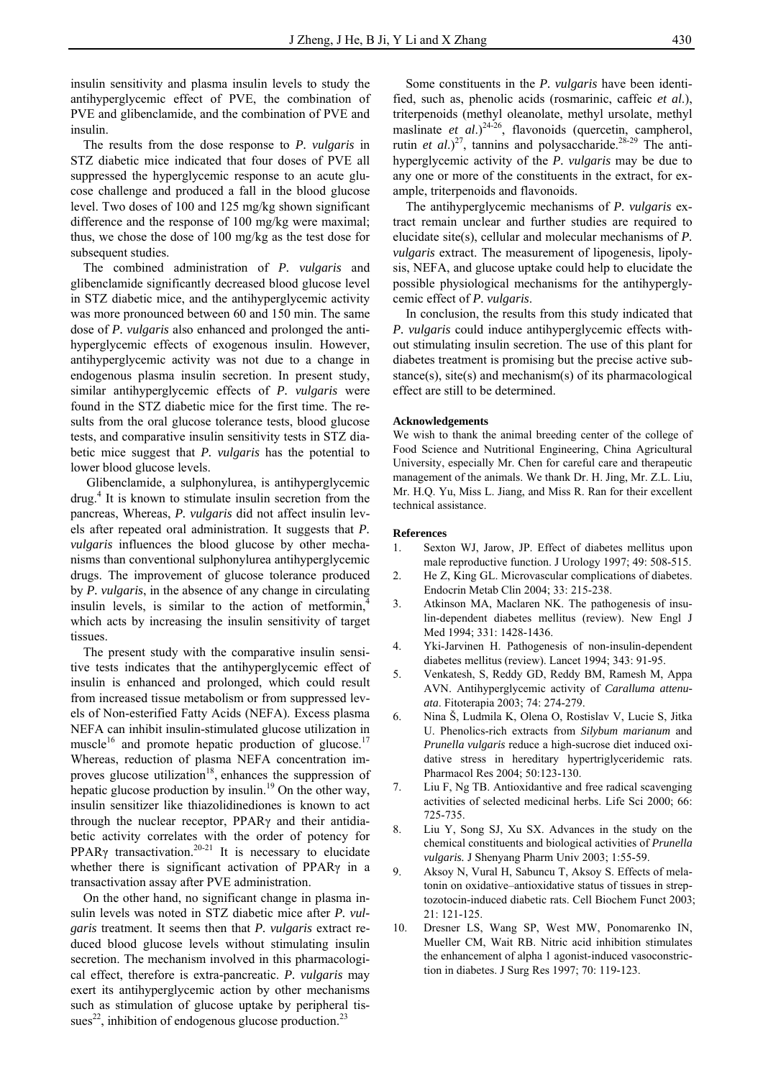insulin sensitivity and plasma insulin levels to study the antihyperglycemic effect of PVE, the combination of PVE and glibenclamide, and the combination of PVE and insulin.

The results from the dose response to *P. vulgaris* in STZ diabetic mice indicated that four doses of PVE all suppressed the hyperglycemic response to an acute glucose challenge and produced a fall in the blood glucose level. Two doses of 100 and 125 mg/kg shown significant difference and the response of 100 mg/kg were maximal; thus, we chose the dose of 100 mg/kg as the test dose for subsequent studies.

The combined administration of *P. vulgaris* and glibenclamide significantly decreased blood glucose level in STZ diabetic mice, and the antihyperglycemic activity was more pronounced between 60 and 150 min. The same dose of *P. vulgaris* also enhanced and prolonged the antihyperglycemic effects of exogenous insulin. However, antihyperglycemic activity was not due to a change in endogenous plasma insulin secretion. In present study, similar antihyperglycemic effects of *P. vulgaris* were found in the STZ diabetic mice for the first time. The results from the oral glucose tolerance tests, blood glucose tests, and comparative insulin sensitivity tests in STZ diabetic mice suggest that *P. vulgaris* has the potential to lower blood glucose levels.

 Glibenclamide, a sulphonylurea, is antihyperglycemic drug.<sup>4</sup> It is known to stimulate insulin secretion from the pancreas, Whereas, *P. vulgaris* did not affect insulin levels after repeated oral administration. It suggests that *P. vulgaris* influences the blood glucose by other mechanisms than conventional sulphonylurea antihyperglycemic drugs. The improvement of glucose tolerance produced by *P. vulgaris*, in the absence of any change in circulating insulin levels, is similar to the action of metformin, which acts by increasing the insulin sensitivity of target tissues.

The present study with the comparative insulin sensitive tests indicates that the antihyperglycemic effect of insulin is enhanced and prolonged, which could result from increased tissue metabolism or from suppressed levels of Non-esterified Fatty Acids (NEFA). Excess plasma NEFA can inhibit insulin-stimulated glucose utilization in muscle<sup>16</sup> and promote hepatic production of glucose.<sup>17</sup> Whereas, reduction of plasma NEFA concentration improves glucose utilization<sup>18</sup>, enhances the suppression of hepatic glucose production by insulin.<sup>19</sup> On the other way, insulin sensitizer like thiazolidinediones is known to act through the nuclear receptor, PPARγ and their antidiabetic activity correlates with the order of potency for PPAR<sub>Y</sub> transactivation.<sup>20-21</sup> It is necessary to elucidate whether there is significant activation of PPARγ in a transactivation assay after PVE administration.

On the other hand, no significant change in plasma insulin levels was noted in STZ diabetic mice after *P. vulgaris* treatment. It seems then that *P. vulgaris* extract reduced blood glucose levels without stimulating insulin secretion. The mechanism involved in this pharmacological effect, therefore is extra-pancreatic. *P. vulgaris* may exert its antihyperglycemic action by other mechanisms such as stimulation of glucose uptake by peripheral tissues<sup>22</sup>, inhibition of endogenous glucose production.<sup>23</sup>

Some constituents in the *P. vulgaris* have been identified, such as, phenolic acids (rosmarinic, caffeic *et al*.), triterpenoids (methyl oleanolate, methyl ursolate, methyl maslinate *et al.*)<sup>24-26</sup>, flavonoids (quercetin, campherol, rutin *et al.*)<sup>27</sup>, tannins and polysaccharide.<sup>28-29</sup> The antihyperglycemic activity of the *P. vulgaris* may be due to any one or more of the constituents in the extract, for example, triterpenoids and flavonoids.

The antihyperglycemic mechanisms of *P. vulgaris* extract remain unclear and further studies are required to elucidate site(s), cellular and molecular mechanisms of *P. vulgaris* extract. The measurement of lipogenesis, lipolysis, NEFA, and glucose uptake could help to elucidate the possible physiological mechanisms for the antihyperglycemic effect of *P. vulgaris*.

In conclusion, the results from this study indicated that *P. vulgaris* could induce antihyperglycemic effects without stimulating insulin secretion. The use of this plant for diabetes treatment is promising but the precise active substance(s), site(s) and mechanism(s) of its pharmacological effect are still to be determined.

#### **Acknowledgements**

We wish to thank the animal breeding center of the college of Food Science and Nutritional Engineering, China Agricultural University, especially Mr. Chen for careful care and therapeutic management of the animals. We thank Dr. H. Jing, Mr. Z.L. Liu, Mr. H.Q. Yu, Miss L. Jiang, and Miss R. Ran for their excellent technical assistance.

#### **References**

- 1. Sexton WJ, Jarow, JP. Effect of diabetes mellitus upon male reproductive function. J Urology 1997; 49: 508-515.
- 2. He Z, King GL. Microvascular complications of diabetes. Endocrin Metab Clin 2004; 33: 215-238.
- 3. Atkinson MA, Maclaren NK. The pathogenesis of insulin-dependent diabetes mellitus (review). New Engl J Med 1994; 331: 1428-1436.
- 4. Yki-Jarvinen H. Pathogenesis of non-insulin-dependent diabetes mellitus (review). Lancet 1994; 343: 91-95.
- 5. Venkatesh, S, Reddy GD, Reddy BM, Ramesh M, Appa AVN. Antihyperglycemic activity of *Caralluma attenuata*. Fitoterapia 2003; 74: 274-279.
- 6. Nina Š, Ludmila K, Olena O, Rostislav V, Lucie S, Jitka U. Phenolics-rich extracts from *Silybum marianum* and *Prunella vulgaris* reduce a high-sucrose diet induced oxidative stress in hereditary hypertriglyceridemic rats. Pharmacol Res 2004; 50:123-130.
- 7. Liu F, Ng TB. Antioxidantive and free radical scavenging activities of selected medicinal herbs. Life Sci 2000; 66: 725-735.
- 8. Liu Y, Song SJ, Xu SX. Advances in the study on the chemical constituents and biological activities of *Prunella vulgaris.* J Shenyang Pharm Univ 2003; 1:55-59.
- 9. Aksoy N, Vural H, Sabuncu T, Aksoy S. Effects of melatonin on oxidative–antioxidative status of tissues in streptozotocin-induced diabetic rats. Cell Biochem Funct 2003; 21: 121-125.
- 10. Dresner LS, Wang SP, West MW, Ponomarenko IN, Mueller CM, Wait RB. Nitric acid inhibition stimulates the enhancement of alpha 1 agonist-induced vasoconstriction in diabetes. J Surg Res 1997; 70: 119-123.